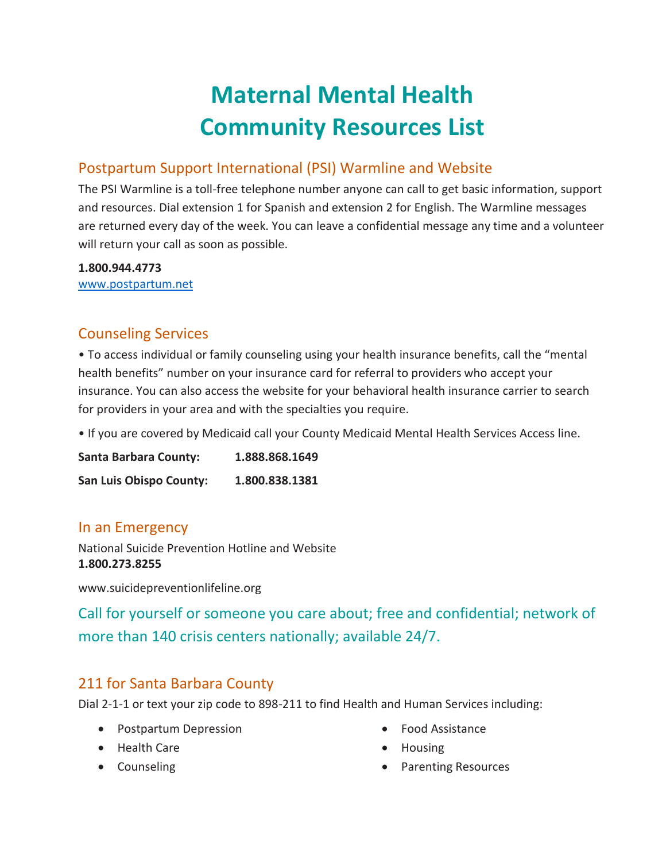# **Maternal Mental Health Community Resources List**

#### Postpartum Support International (PSI) Warmline and Website

The PSI Warmline is a toll-free telephone number anyone can call to get basic information, support and resources. Dial extension 1 for Spanish and extension 2 for English. The Warmline messages are returned every day of the week. You can leave a confidential message any time and a volunteer will return your call as soon as possible.

**1.800.944.4773**

[www.postpartum.net](http://www.postpartum.net/)

#### Counseling Services

• To access individual or family counseling using your health insurance benefits, call the "mental health benefits" number on your insurance card for referral to providers who accept your insurance. You can also access the website for your behavioral health insurance carrier to search for providers in your area and with the specialties you require.

• If you are covered by Medicaid call your County Medicaid Mental Health Services Access line.

**Santa Barbara County: 1.888.868.1649 San Luis Obispo County: 1.800.838.1381**

#### In an Emergency

National Suicide Prevention Hotline and Website **1.800.273.8255**

www.suicidepreventionlifeline.org

Call for yourself or someone you care about; free and confidential; network of more than 140 crisis centers nationally; available 24/7.

#### 211 for Santa Barbara County

Dial 2-1-1 or text your zip code to 898-211 to find Health and Human Services including:

- Postpartum Depression
- Health Care
- Counseling
- Food Assistance
- Housing
- Parenting Resources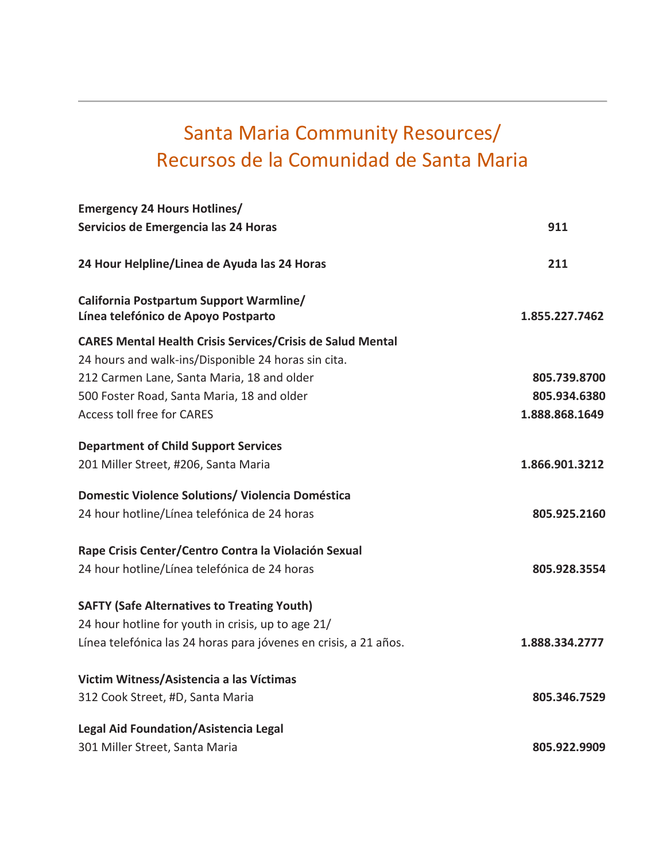# Santa Maria Community Resources/ Recursos de la Comunidad de Santa Maria

| <b>Emergency 24 Hours Hotlines/</b>                                            |                |
|--------------------------------------------------------------------------------|----------------|
| Servicios de Emergencia las 24 Horas                                           | 911            |
| 24 Hour Helpline/Linea de Ayuda las 24 Horas                                   | 211            |
| California Postpartum Support Warmline/<br>Línea telefónico de Apoyo Postparto | 1.855.227.7462 |
| <b>CARES Mental Health Crisis Services/Crisis de Salud Mental</b>              |                |
| 24 hours and walk-ins/Disponible 24 horas sin cita.                            |                |
| 212 Carmen Lane, Santa Maria, 18 and older                                     | 805.739.8700   |
| 500 Foster Road, Santa Maria, 18 and older                                     | 805.934.6380   |
| <b>Access toll free for CARES</b>                                              | 1.888.868.1649 |
| <b>Department of Child Support Services</b>                                    |                |
| 201 Miller Street, #206, Santa Maria                                           | 1.866.901.3212 |
| Domestic Violence Solutions/ Violencia Doméstica                               |                |
| 24 hour hotline/Línea telefónica de 24 horas                                   | 805.925.2160   |
| Rape Crisis Center/Centro Contra la Violación Sexual                           |                |
| 24 hour hotline/Línea telefónica de 24 horas                                   | 805.928.3554   |
| <b>SAFTY (Safe Alternatives to Treating Youth)</b>                             |                |
| 24 hour hotline for youth in crisis, up to age 21/                             |                |
| Línea telefónica las 24 horas para jóvenes en crisis, a 21 años.               | 1.888.334.2777 |
| Victim Witness/Asistencia a las Víctimas                                       |                |
| 312 Cook Street, #D, Santa Maria                                               | 805.346.7529   |
| <b>Legal Aid Foundation/Asistencia Legal</b>                                   |                |
| 301 Miller Street, Santa Maria                                                 | 805.922.9909   |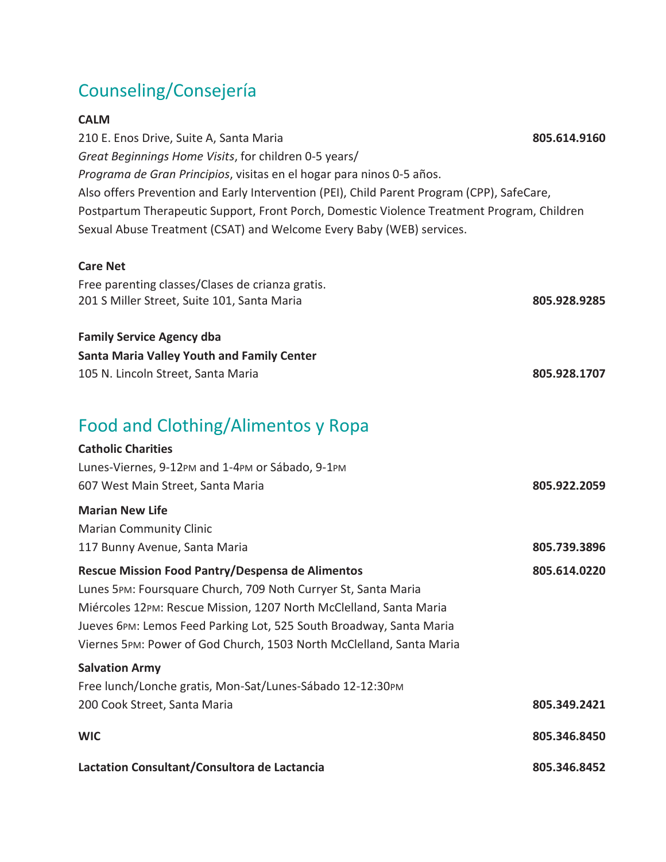### Counseling/Consejería

#### **CALM**

210 E. Enos Drive, Suite A, Santa Maria **805.614.9160**  *Great Beginnings Home Visits*, for children 0-5 years/ *Programa de Gran Principios*, visitas en el hogar para ninos 0-5 años. Also offers Prevention and Early Intervention (PEI), Child Parent Program (CPP), SafeCare, Postpartum Therapeutic Support, Front Porch, Domestic Violence Treatment Program, Children Sexual Abuse Treatment (CSAT) and Welcome Every Baby (WEB) services.

#### **Care Net**

| Free parenting classes/Clases de crianza gratis.  |              |
|---------------------------------------------------|--------------|
| 201 S Miller Street, Suite 101, Santa Maria       | 805.928.9285 |
| <b>Family Service Agency dba</b>                  |              |
| <b>Santa Maria Valley Youth and Family Center</b> |              |

105 N. Lincoln Street, Santa Maria **805.928.1707**

### Food and Clothing/Alimentos y Ropa

| <b>Catholic Charities</b>                                            |              |
|----------------------------------------------------------------------|--------------|
| Lunes-Viernes, 9-12PM and 1-4PM or Sábado, 9-1PM                     |              |
| 607 West Main Street, Santa Maria                                    | 805.922.2059 |
| <b>Marian New Life</b>                                               |              |
| <b>Marian Community Clinic</b>                                       |              |
| 117 Bunny Avenue, Santa Maria                                        | 805.739.3896 |
| Rescue Mission Food Pantry/Despensa de Alimentos                     | 805.614.0220 |
| Lunes 5PM: Foursquare Church, 709 Noth Curryer St, Santa Maria       |              |
| Miércoles 12PM: Rescue Mission, 1207 North McClelland, Santa Maria   |              |
| Jueves 6PM: Lemos Feed Parking Lot, 525 South Broadway, Santa Maria  |              |
| Viernes 5PM: Power of God Church, 1503 North McClelland, Santa Maria |              |
| <b>Salvation Army</b>                                                |              |
| Free lunch/Lonche gratis, Mon-Sat/Lunes-Sábado 12-12:30PM            |              |
| 200 Cook Street, Santa Maria                                         | 805.349.2421 |
| <b>WIC</b>                                                           | 805.346.8450 |
| Lactation Consultant/Consultora de Lactancia                         | 805.346.8452 |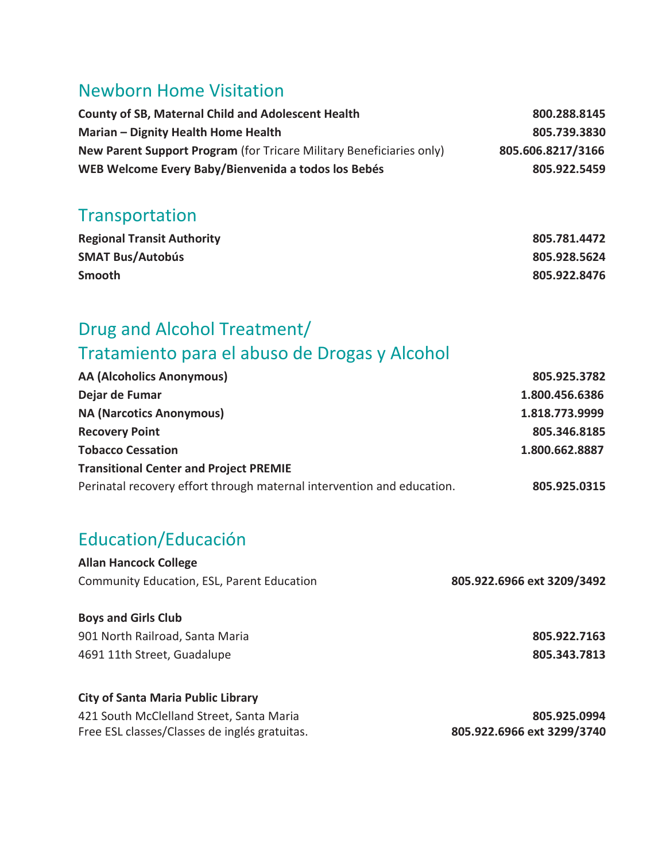### Newborn Home Visitation

| <b>County of SB, Maternal Child and Adolescent Health</b>            | 800.288.8145      |
|----------------------------------------------------------------------|-------------------|
| Marian – Dignity Health Home Health                                  | 805.739.3830      |
| New Parent Support Program (for Tricare Military Beneficiaries only) | 805.606.8217/3166 |
| WEB Welcome Every Baby/Bienvenida a todos los Bebés                  | 805.922.5459      |

### Transportation

| <b>Regional Transit Authority</b> | 805.781.4472 |
|-----------------------------------|--------------|
| <b>SMAT Bus/Autobús</b>           | 805.928.5624 |
| Smooth                            | 805.922.8476 |

### Drug and Alcohol Treatment/ Tratamiento para el abuso de Drogas y Alcohol

| <b>AA (Alcoholics Anonymous)</b>                                       | 805.925.3782   |
|------------------------------------------------------------------------|----------------|
| Dejar de Fumar                                                         | 1.800.456.6386 |
| <b>NA (Narcotics Anonymous)</b>                                        | 1.818.773.9999 |
| <b>Recovery Point</b>                                                  | 805.346.8185   |
| <b>Tobacco Cessation</b>                                               | 1.800.662.8887 |
| <b>Transitional Center and Project PREMIE</b>                          |                |
| Perinatal recovery effort through maternal intervention and education. | 805.925.0315   |

### Education/Educación

| <b>Allan Hancock College</b>               |                            |
|--------------------------------------------|----------------------------|
| Community Education, ESL, Parent Education | 805.922.6966 ext 3209/3492 |
| <b>Boys and Girls Club</b>                 |                            |
| 901 North Railroad, Santa Maria            | 805.922.7163               |
| 4691 11th Street, Guadalupe                | 805.343.7813               |
| <b>City of Santa Maria Public Library</b>  |                            |
| 421 South McClelland Street, Santa Maria   | <b>805 925 0994</b>        |

| 421 South McClelland Street, Santa Maria      | 805.925.0994               |
|-----------------------------------------------|----------------------------|
| Free ESL classes/Classes de inglés gratuitas. | 805.922.6966 ext 3299/3740 |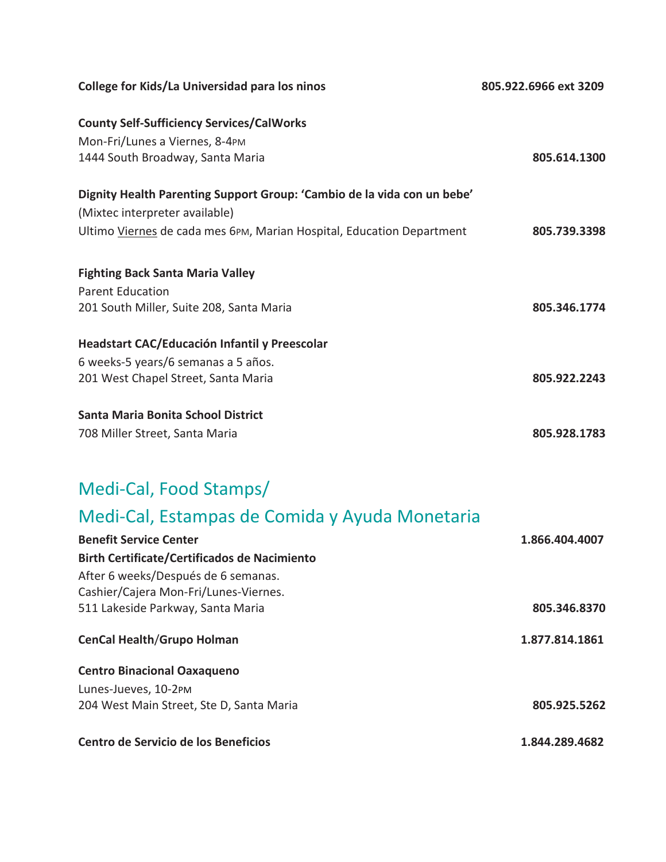| College for Kids/La Universidad para los ninos                          | 805.922.6966 ext 3209 |
|-------------------------------------------------------------------------|-----------------------|
| <b>County Self-Sufficiency Services/CalWorks</b>                        |                       |
| Mon-Fri/Lunes a Viernes, 8-4PM                                          |                       |
| 1444 South Broadway, Santa Maria                                        | 805.614.1300          |
| Dignity Health Parenting Support Group: 'Cambio de la vida con un bebe' |                       |
| (Mixtec interpreter available)                                          |                       |
| Ultimo Viernes de cada mes 6PM, Marian Hospital, Education Department   | 805.739.3398          |
| <b>Fighting Back Santa Maria Valley</b>                                 |                       |
| <b>Parent Education</b>                                                 |                       |
| 201 South Miller, Suite 208, Santa Maria                                | 805.346.1774          |
| Headstart CAC/Educación Infantil y Preescolar                           |                       |
| 6 weeks-5 years/6 semanas a 5 años.                                     |                       |
| 201 West Chapel Street, Santa Maria                                     | 805.922.2243          |
| Santa Maria Bonita School District                                      |                       |
| 708 Miller Street, Santa Maria                                          | 805.928.1783          |

### Medi-Cal, Food Stamps/

# Medi-Cal, Estampas de Comida y Ayuda Monetaria

| <b>Benefit Service Center</b>                       | 1.866.404.4007 |
|-----------------------------------------------------|----------------|
| <b>Birth Certificate/Certificados de Nacimiento</b> |                |
| After 6 weeks/Después de 6 semanas.                 |                |
| Cashier/Cajera Mon-Fri/Lunes-Viernes.               |                |
| 511 Lakeside Parkway, Santa Maria                   | 805.346.8370   |
| <b>CenCal Health/Grupo Holman</b>                   | 1.877.814.1861 |
| <b>Centro Binacional Oaxaqueno</b>                  |                |
| Lunes-Jueves, 10-2PM                                |                |
| 204 West Main Street, Ste D, Santa Maria            | 805.925.5262   |
| Centro de Servicio de los Beneficios                | 1.844.289.4682 |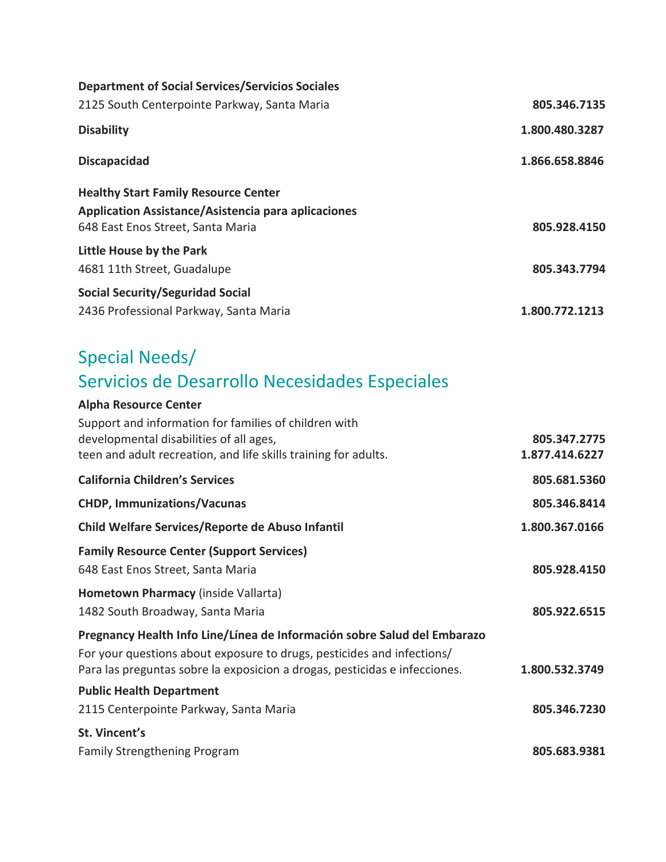| 805.346.7135   |
|----------------|
| 1.800.480.3287 |
| 1.866.658.8846 |
|                |
|                |
| 805.928.4150   |
|                |
| 805.343.7794   |
|                |
| 1.800.772.1213 |
|                |

## Special Needs/ Servicios de Desarrollo Necesidades Especiales

| <b>Alpha Resource Center</b>                                                                                                                                                                                                     |                                |
|----------------------------------------------------------------------------------------------------------------------------------------------------------------------------------------------------------------------------------|--------------------------------|
| Support and information for families of children with<br>developmental disabilities of all ages,<br>teen and adult recreation, and life skills training for adults.                                                              | 805.347.2775<br>1.877.414.6227 |
| <b>California Children's Services</b>                                                                                                                                                                                            | 805.681.5360                   |
| <b>CHDP, Immunizations/Vacunas</b>                                                                                                                                                                                               | 805.346.8414                   |
| Child Welfare Services/Reporte de Abuso Infantil                                                                                                                                                                                 | 1.800.367.0166                 |
| <b>Family Resource Center (Support Services)</b><br>648 East Enos Street, Santa Maria                                                                                                                                            | 805.928.4150                   |
| Hometown Pharmacy (inside Vallarta)<br>1482 South Broadway, Santa Maria                                                                                                                                                          | 805.922.6515                   |
| Pregnancy Health Info Line/Línea de Información sobre Salud del Embarazo<br>For your questions about exposure to drugs, pesticides and infections/<br>Para las preguntas sobre la exposicion a drogas, pesticidas e infecciones. | 1.800.532.3749                 |
| <b>Public Health Department</b>                                                                                                                                                                                                  |                                |
| 2115 Centerpointe Parkway, Santa Maria                                                                                                                                                                                           | 805.346.7230                   |
| St. Vincent's                                                                                                                                                                                                                    |                                |
| <b>Family Strengthening Program</b>                                                                                                                                                                                              | 805.683.9381                   |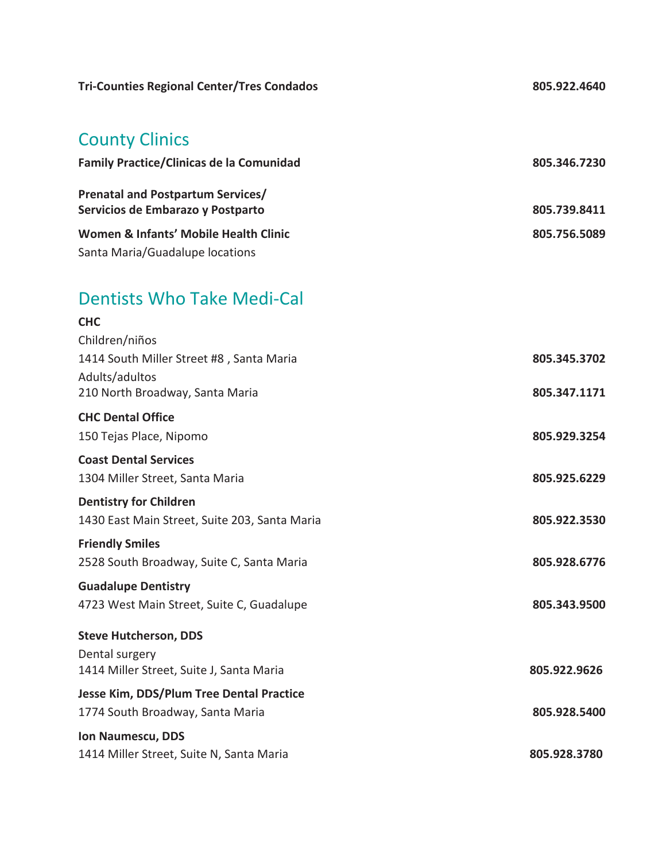| <b>Tri-Counties Regional Center/Tres Condados</b>                              | 805.922.4640 |
|--------------------------------------------------------------------------------|--------------|
| <b>County Clinics</b>                                                          |              |
| <b>Family Practice/Clinicas de la Comunidad</b>                                | 805.346.7230 |
| <b>Prenatal and Postpartum Services/</b><br>Servicios de Embarazo y Postparto  | 805.739.8411 |
| Women & Infants' Mobile Health Clinic                                          | 805.756.5089 |
| Santa Maria/Guadalupe locations                                                |              |
| <b>Dentists Who Take Medi-Cal</b>                                              |              |
| <b>CHC</b><br>Children/niños                                                   |              |
| 1414 South Miller Street #8, Santa Maria                                       | 805.345.3702 |
| Adults/adultos<br>210 North Broadway, Santa Maria                              | 805.347.1171 |
| <b>CHC Dental Office</b>                                                       |              |
| 150 Tejas Place, Nipomo                                                        | 805.929.3254 |
| <b>Coast Dental Services</b>                                                   |              |
| 1304 Miller Street, Santa Maria                                                | 805.925.6229 |
| <b>Dentistry for Children</b><br>1430 East Main Street, Suite 203, Santa Maria | 805.922.3530 |
| <b>Friendly Smiles</b>                                                         |              |
| 2528 South Broadway, Suite C, Santa Maria                                      | 805.928.6776 |
| <b>Guadalupe Dentistry</b>                                                     |              |
| 4723 West Main Street, Suite C, Guadalupe                                      | 805.343.9500 |
| <b>Steve Hutcherson, DDS</b>                                                   |              |
| Dental surgery<br>1414 Miller Street, Suite J, Santa Maria                     | 805.922.9626 |
| Jesse Kim, DDS/Plum Tree Dental Practice                                       |              |
| 1774 South Broadway, Santa Maria                                               | 805.928.5400 |
| Ion Naumescu, DDS<br>1414 Miller Street, Suite N, Santa Maria                  | 805.928.3780 |
|                                                                                |              |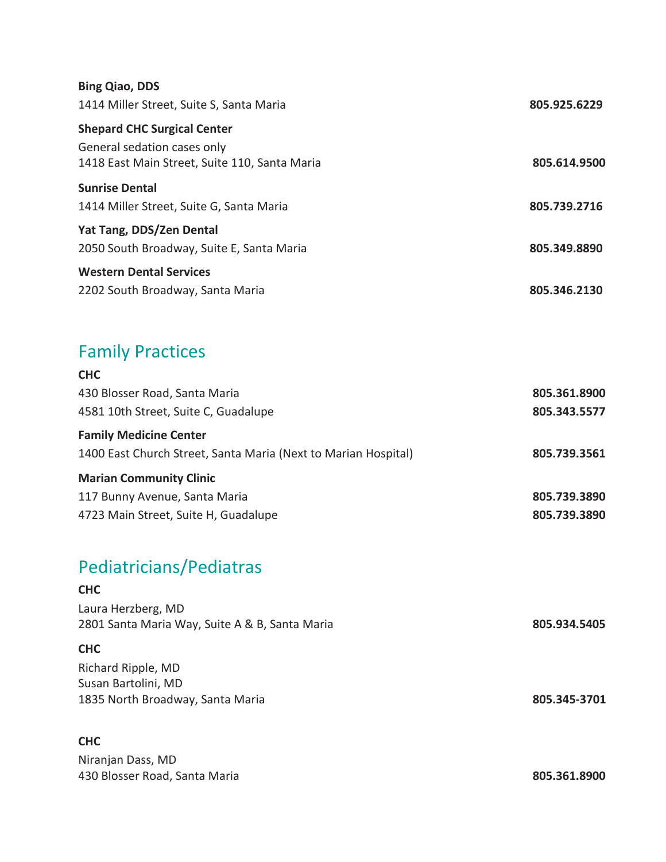| <b>Bing Qiao, DDS</b>                         |              |
|-----------------------------------------------|--------------|
| 1414 Miller Street, Suite S, Santa Maria      | 805.925.6229 |
| <b>Shepard CHC Surgical Center</b>            |              |
| General sedation cases only                   |              |
| 1418 East Main Street, Suite 110, Santa Maria | 805.614.9500 |
| <b>Sunrise Dental</b>                         |              |
| 1414 Miller Street, Suite G, Santa Maria      | 805.739.2716 |
| <b>Yat Tang, DDS/Zen Dental</b>               |              |
| 2050 South Broadway, Suite E, Santa Maria     | 805.349.8890 |
| <b>Western Dental Services</b>                |              |
| 2202 South Broadway, Santa Maria              | 805.346.2130 |

### Family Practices

| <b>CHC</b>                                                     |              |
|----------------------------------------------------------------|--------------|
| 430 Blosser Road, Santa Maria                                  | 805.361.8900 |
| 4581 10th Street, Suite C, Guadalupe                           | 805.343.5577 |
| <b>Family Medicine Center</b>                                  |              |
| 1400 East Church Street, Santa Maria (Next to Marian Hospital) | 805.739.3561 |
| <b>Marian Community Clinic</b>                                 |              |
| 117 Bunny Avenue, Santa Maria                                  | 805.739.3890 |
| 4723 Main Street, Suite H, Guadalupe                           | 805.739.3890 |

# Pediatricians/Pediatras

#### **CHC**

| Laura Herzberg, MD                             |              |
|------------------------------------------------|--------------|
| 2801 Santa Maria Way, Suite A & B, Santa Maria | 805.934.5405 |
| <b>CHC</b>                                     |              |
| Richard Ripple, MD                             |              |
| Susan Bartolini, MD                            |              |
| 1835 North Broadway, Santa Maria               | 805.345-3701 |

#### **CHC**

Niranjan Dass, MD 430 Blosser Road, Santa Maria **805.361.8900**